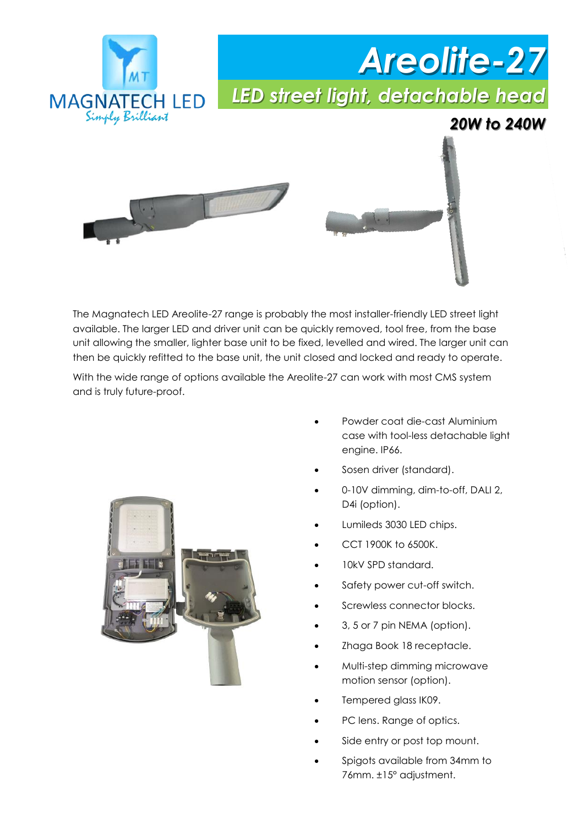

The Magnatech LED Areolite-27 range is probably the most installer-friendly LED street light available. The larger LED and driver unit can be quickly removed, tool free, from the base unit allowing the smaller, lighter base unit to be fixed, levelled and wired. The larger unit can then be quickly refitted to the base unit, the unit closed and locked and ready to operate.

With the wide range of options available the Areolite-27 can work with most CMS system and is truly future-proof.



- Powder coat die-cast Aluminium case with tool-less detachable light engine. IP66.
- Sosen driver (standard).
- 0-10V dimming, dim-to-off, DALI 2, D4i (option).
- Lumileds 3030 LED chips.
- CCT 1900K to 6500K.
- 10kV SPD standard.
- Safety power cut-off switch.
- Screwless connector blocks.
- 3, 5 or 7 pin NEMA (option).
- Zhaga Book 18 receptacle.
- Multi-step dimming microwave motion sensor (option).
- Tempered glass IK09.
- PC lens. Range of optics.
- Side entry or post top mount.
- Spigots available from 34mm to 76mm. ±15° adjustment.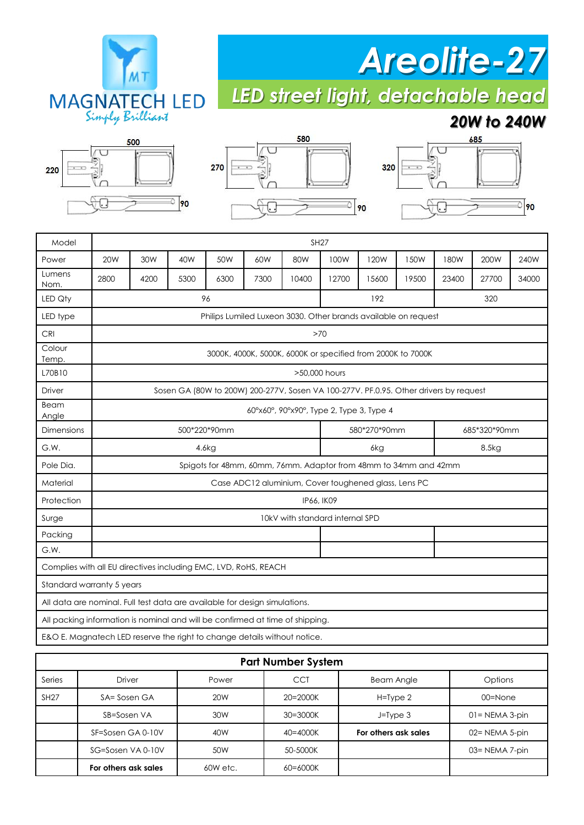

## *Areolite-27*

*LED street light, detachable head*

#### *20W to 240W*







| Model                                                                         |                                                                                       |      |      |      |      | <b>SH27</b>                                                      |              |       |       |              |       |       |
|-------------------------------------------------------------------------------|---------------------------------------------------------------------------------------|------|------|------|------|------------------------------------------------------------------|--------------|-------|-------|--------------|-------|-------|
| Power                                                                         | 20 <sub>W</sub>                                                                       | 30W  | 40W  | 50W  | 60W  | 80W                                                              | 100W         | 120W  | 150W  | 180W         | 200W  | 240W  |
| Lumens<br>Nom.                                                                | 2800                                                                                  | 4200 | 5300 | 6300 | 7300 | 10400                                                            | 12700        | 15600 | 19500 | 23400        | 27700 | 34000 |
| LED Qty                                                                       |                                                                                       |      |      | 96   |      |                                                                  |              | 192   |       |              | 320   |       |
| LED type                                                                      |                                                                                       |      |      |      |      | Philips Lumiled Luxeon 3030. Other brands available on request   |              |       |       |              |       |       |
| <b>CRI</b>                                                                    | >70                                                                                   |      |      |      |      |                                                                  |              |       |       |              |       |       |
| Colour<br>Temp.                                                               | 3000K, 4000K, 5000K, 6000K or specified from 2000K to 7000K                           |      |      |      |      |                                                                  |              |       |       |              |       |       |
| L70B10                                                                        | >50,000 hours                                                                         |      |      |      |      |                                                                  |              |       |       |              |       |       |
| Driver                                                                        | Sosen GA (80W to 200W) 200-277V, Sosen VA 100-277V. PF.0.95. Other drivers by request |      |      |      |      |                                                                  |              |       |       |              |       |       |
| Beam<br>Angle                                                                 |                                                                                       |      |      |      |      | 60°x60°, 90°x90°, Type 2, Type 3, Type 4                         |              |       |       |              |       |       |
| <b>Dimensions</b>                                                             | 500*220*90mm                                                                          |      |      |      |      |                                                                  | 580*270*90mm |       |       | 685*320*90mm |       |       |
| G.W.                                                                          | 4.6kg                                                                                 |      |      |      |      |                                                                  | 6kg          |       |       | 8.5kg        |       |       |
| Pole Dia.                                                                     |                                                                                       |      |      |      |      | Spigots for 48mm, 60mm, 76mm. Adaptor from 48mm to 34mm and 42mm |              |       |       |              |       |       |
| Material                                                                      | Case ADC12 aluminium, Cover toughened glass, Lens PC                                  |      |      |      |      |                                                                  |              |       |       |              |       |       |
| Protection                                                                    | IP66, IK09                                                                            |      |      |      |      |                                                                  |              |       |       |              |       |       |
| Surge                                                                         | 10kV with standard internal SPD                                                       |      |      |      |      |                                                                  |              |       |       |              |       |       |
| Packing                                                                       |                                                                                       |      |      |      |      |                                                                  |              |       |       |              |       |       |
| G.W.                                                                          |                                                                                       |      |      |      |      |                                                                  |              |       |       |              |       |       |
| Complies with all EU directives including EMC, LVD, RoHS, REACH               |                                                                                       |      |      |      |      |                                                                  |              |       |       |              |       |       |
| Standard warranty 5 years                                                     |                                                                                       |      |      |      |      |                                                                  |              |       |       |              |       |       |
| All data are nominal. Full test data are available for design simulations.    |                                                                                       |      |      |      |      |                                                                  |              |       |       |              |       |       |
| All packing information is nominal and will be confirmed at time of shipping. |                                                                                       |      |      |      |      |                                                                  |              |       |       |              |       |       |
| E&O E. Magnatech LED reserve the right to change details without notice.      |                                                                                       |      |      |      |      |                                                                  |              |       |       |              |       |       |

|             |                      |                 | <b>Part Number System</b> |                      |                   |
|-------------|----------------------|-----------------|---------------------------|----------------------|-------------------|
| Series      | <b>Driver</b>        | Power           | <b>CCT</b>                | <b>Beam Angle</b>    | Options           |
| <b>SH27</b> | SA= Sosen GA         | 20 <sub>W</sub> | $20 = 2000K$              | $H = Type 2$         | 00=None           |
|             | SB=Sosen VA          | 30W             | 30=3000K                  | $J = Type 3$         | $01 = NEMA 3-pin$ |
|             | SF=Sosen GA 0-10V    | 40W             | $40 = 4000K$              | For others ask sales | 02= NEMA 5-pin    |
|             | SG=Sosen VA 0-10V    | 50W             | 50-5000K                  |                      | 03= NEMA 7-pin    |
|             | For others ask sales | 60W etc.        | 60=6000K                  |                      |                   |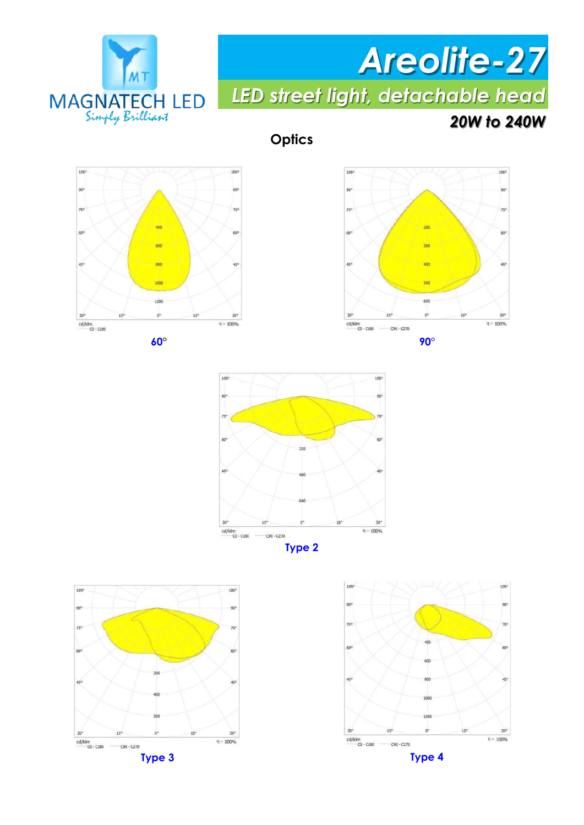

# *Areolite-27*

*LED street light, detachable head*

#### *20W to 240W*

**Optics**















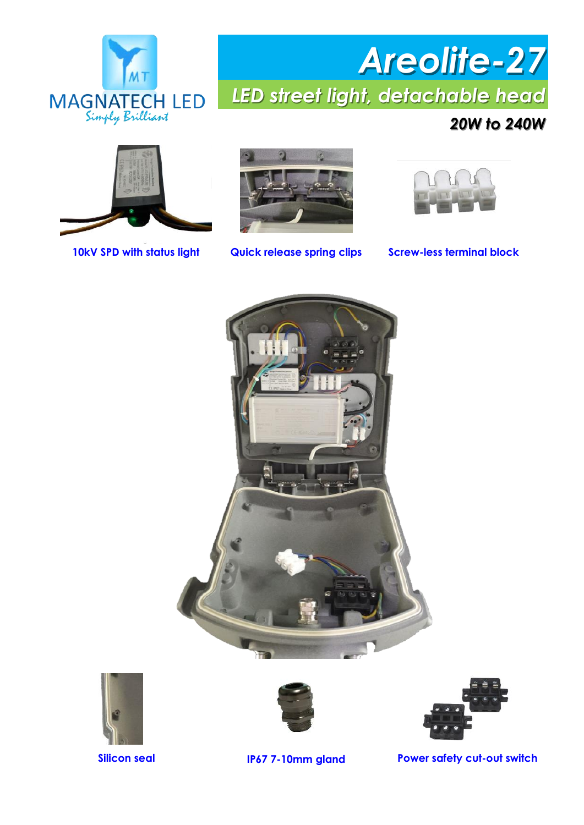

#### *20W to 240W*







**10kV SPD with status light Quick release spring clips Screw-less terminal block**









**Silicon seal IP67 7-10mm gland Power safety cut-out switch**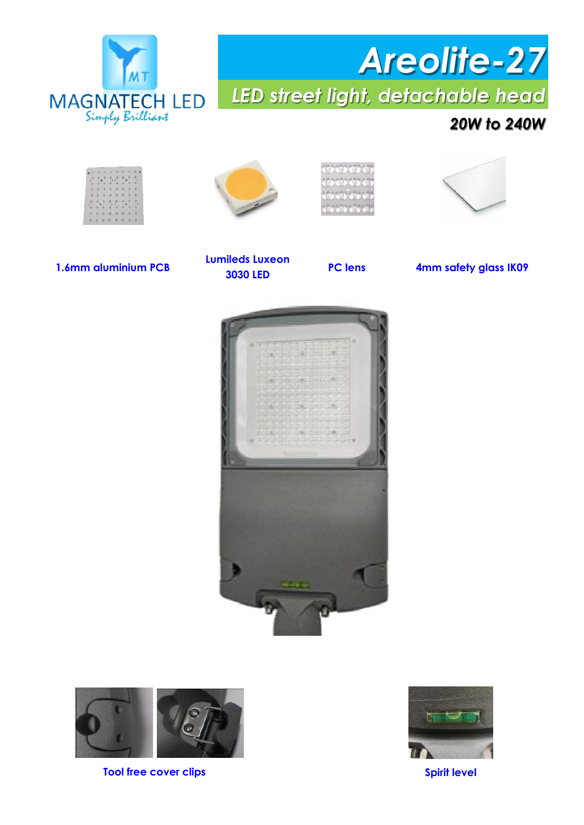

#### *20W to 240W*

|     |        | <b>ALCOHOL</b> |               | $10 - 14$ | ۰ |             |              |
|-----|--------|----------------|---------------|-----------|---|-------------|--------------|
| s.  |        | 5, 8           | $\frac{1}{2}$ | 新山        |   | 元、社         |              |
| W.  | ×      | 18             |               |           | ø | w           | l in         |
| $=$ | $= 14$ |                |               | $x - x$   |   | $x - x - x$ |              |
|     |        |                | N N N N N     |           |   | $11 - 36$   | - 11         |
|     |        |                | 用用某用者         |           |   | à,          |              |
| 10  | w-     |                | 20 20 30      |           | u | ü           | <b>HE-SH</b> |
|     | $= 11$ |                |               | 第二期 知     |   | 新英国         |              |
|     | 样 五    |                | 10 30 W       |           |   | $K-K$       |              |







**1.6mm aluminium PCB PC lens 4mm safety glass IK09** 

**Lumileds Luxeon 3030 LED**





**Tool free cover clips Spirit level** 

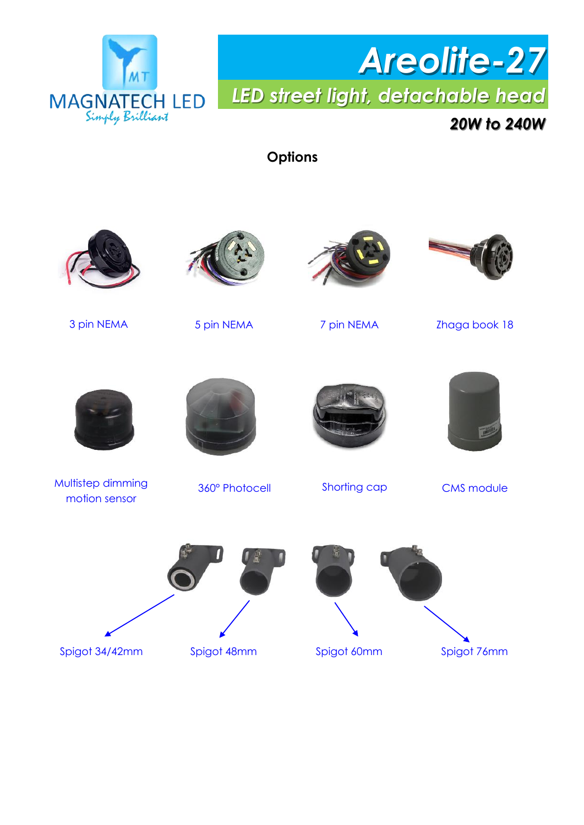

#### *20W to 240W*

**Options**

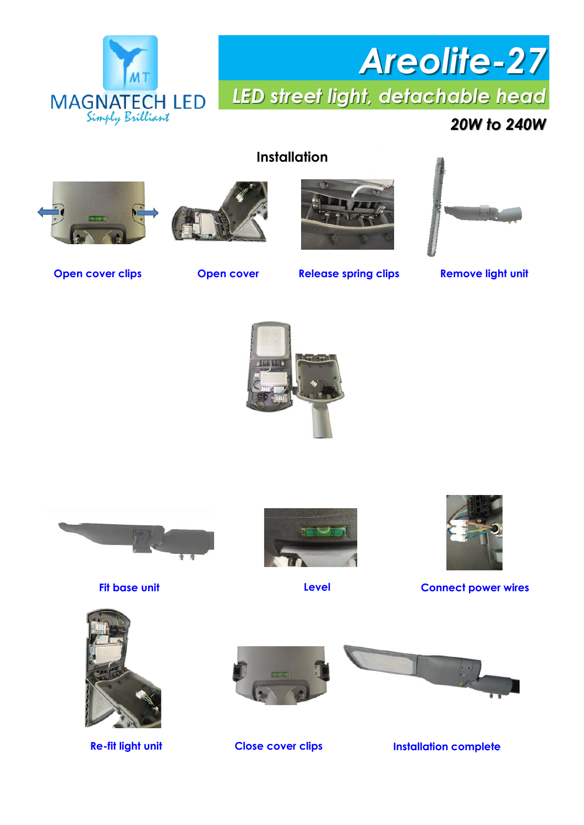

#### *20W to 240W*

#### **Installation**









**Open cover clips**

**Open cover Release spring clips Remove light unit** 











**Fit base unit Level Connect power wires**





**Re-fit light unit Close cover clips Installation complete**